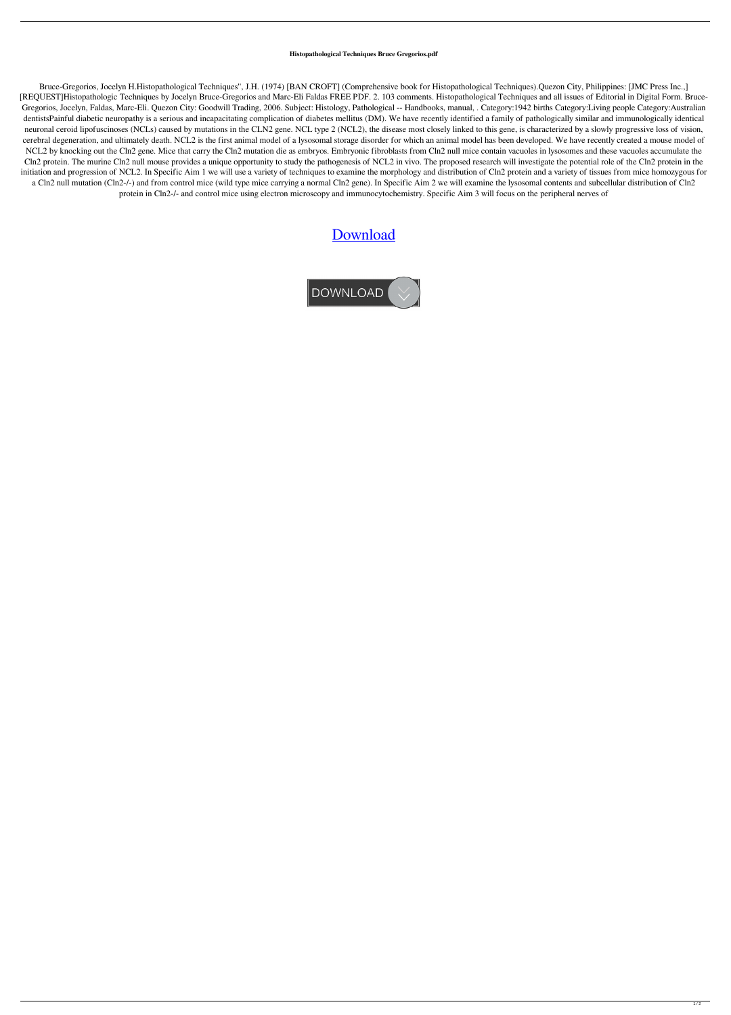## **Histopathological Techniques Bruce Gregorios.pdf**

Bruce-Gregorios, Jocelyn H.Histopathological Techniques'', J.H. (1974) [BAN CROFT] (Comprehensive book for Histopathological Techniques).Quezon City, Philippines: [JMC Press Inc.,] [REQUEST]Histopathologic Techniques by Jocelyn Bruce-Gregorios and Marc-Eli Faldas FREE PDF. 2. 103 comments. Histopathological Techniques and all issues of Editorial in Digital Form. Bruce-Gregorios, Jocelyn, Faldas, Marc-Eli. Quezon City: Goodwill Trading, 2006. Subject: Histology, Pathological -- Handbooks, manual, . Category:1942 births Category:Living people Category:Australian dentistsPainful diabetic neuropathy is a serious and incapacitating complication of diabetes mellitus (DM). We have recently identified a family of pathologically similar and immunologically identical neuronal ceroid lipofuscinoses (NCLs) caused by mutations in the CLN2 gene. NCL type 2 (NCL2), the disease most closely linked to this gene, is characterized by a slowly progressive loss of vision, cerebral degeneration, and ultimately death. NCL2 is the first animal model of a lysosomal storage disorder for which an animal model has been developed. We have recently created a mouse model of NCL2 by knocking out the Cln2 gene. Mice that carry the Cln2 mutation die as embryos. Embryonic fibroblasts from Cln2 null mice contain vacuoles in lysosomes and these vacuoles accumulate the Cln2 protein. The murine Cln2 null mouse provides a unique opportunity to study the pathogenesis of NCL2 in vivo. The proposed research will investigate the potential role of the Cln2 protein in the initiation and progression of NCL2. In Specific Aim 1 we will use a variety of techniques to examine the morphology and distribution of Cln2 protein and a variety of tissues from mice homozygous for a Cln2 null mutation (Cln2-/-) and from control mice (wild type mice carrying a normal Cln2 gene). In Specific Aim 2 we will examine the lysosomal contents and subcellular distribution of Cln2 protein in Cln2-/- and control mice using electron microscopy and immunocytochemistry. Specific Aim 3 will focus on the peripheral nerves of

## [Download](http://evacdir.com/batll.ehthernet/sutures/ZG93bmxvYWR8MXlUTW5kaWVYeDhNVFkxTWpjME1EZzJObng4TWpVM05IeDhLRTBwSUhKbFlXUXRZbXh2WnlCYlJtRnpkQ0JIUlU1ZA/SGlzdG9wYXRob2xvZ2ljYWwgVGVjaG5pcXVlcyBCcnVjZSBHcmVnb3Jpb3MucGRmSGl=mabille/brinkman)